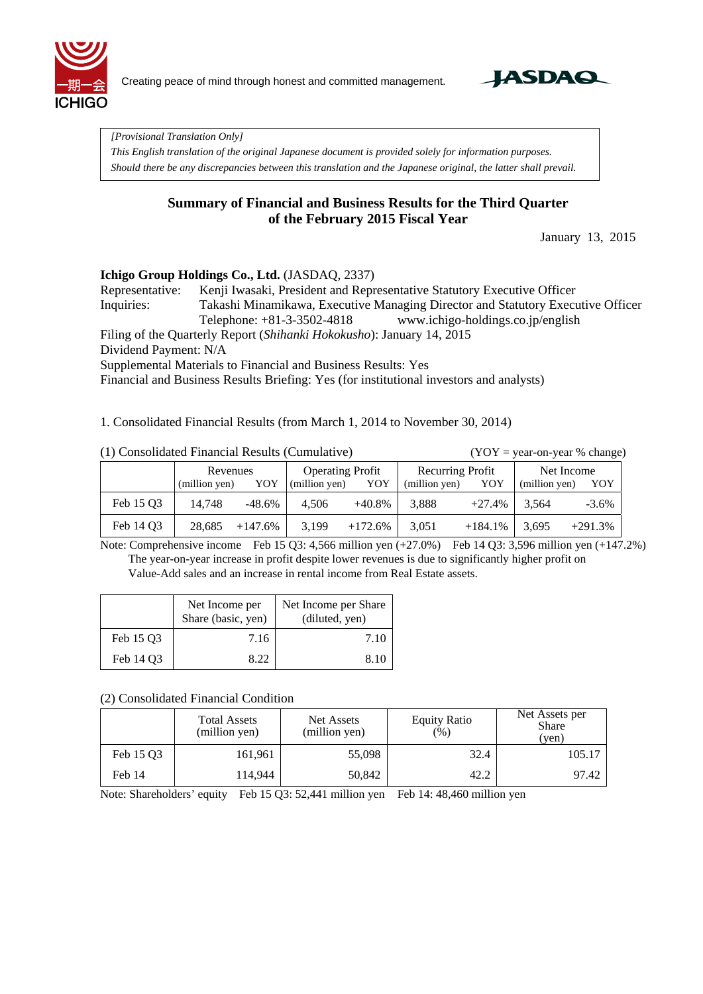

Creating peace of mind through honest and committed management.



*[Provisional Translation Only]* 

*This English translation of the original Japanese document is provided solely for information purposes. Should there be any discrepancies between this translation and the Japanese original, the latter shall prevail.*

## **Summary of Financial and Business Results for the Third Quarter of the February 2015 Fiscal Year**

January 13, 2015

#### **Ichigo Group Holdings Co., Ltd.** (JASDAQ, 2337)

Representative: Kenji Iwasaki, President and Representative Statutory Executive Officer Inquiries: Takashi Minamikawa, Executive Managing Director and Statutory Executive Officer Telephone: +81-3-3502-4818 www.ichigo-holdings.co.jp/english

Filing of the Quarterly Report (*Shihanki Hokokusho*): January 14, 2015

Dividend Payment: N/A

Supplemental Materials to Financial and Business Results: Yes

Financial and Business Results Briefing: Yes (for institutional investors and analysts)

1. Consolidated Financial Results (from March 1, 2014 to November 30, 2014)

 $(YOY = year-on-year % change)$ 

|           | Revenues      |           | <b>Operating Profit</b> |            | <b>Recurring Profit</b> |            | Net Income    |           |
|-----------|---------------|-----------|-------------------------|------------|-------------------------|------------|---------------|-----------|
|           | (million yen) | YOY       | (million yen)           | YOY        | (million yen)           | YOY        | (million yen) | YOY       |
| Feb 15 Q3 | 14.748        | -48.6%    | 4.506                   | $+40.8\%$  | 3.888                   | $+27.4%$   | 3.564         | $-3.6\%$  |
| Feb 14 Q3 | 28,685        | $+147.6%$ | 3,199                   | $+172.6\%$ | 3,051                   | $+184.1\%$ | 3,695         | $+291.3%$ |

Note: Comprehensive income Feb 15 Q3: 4,566 million yen (+27.0%) Feb 14 Q3: 3,596 million yen (+147.2%) The year-on-year increase in profit despite lower revenues is due to significantly higher profit on Value-Add sales and an increase in rental income from Real Estate assets.

|           | Net Income per<br>Share (basic, yen) | Net Income per Share<br>(diluted, yen) |
|-----------|--------------------------------------|----------------------------------------|
| Feb 15 O3 | 7.16                                 | 7.10                                   |
| Feb 14 O3 | 8.22                                 | 8.10                                   |

#### (2) Consolidated Financial Condition

|           | <b>Total Assets</b><br>(million yen) | Net Assets<br>(million yen) | <b>Equity Ratio</b><br>(% ) | Net Assets per<br><b>Share</b><br>(yen) |  |
|-----------|--------------------------------------|-----------------------------|-----------------------------|-----------------------------------------|--|
| Feb 15 Q3 | 161,961                              | 55,098                      | 32.4                        | 105.17                                  |  |
| Feb 14    | 114.944                              | 50,842                      | 42.2                        | 97.42                                   |  |

Note: Shareholders' equity Feb 15 Q3: 52,441 million yen Feb 14: 48,460 million yen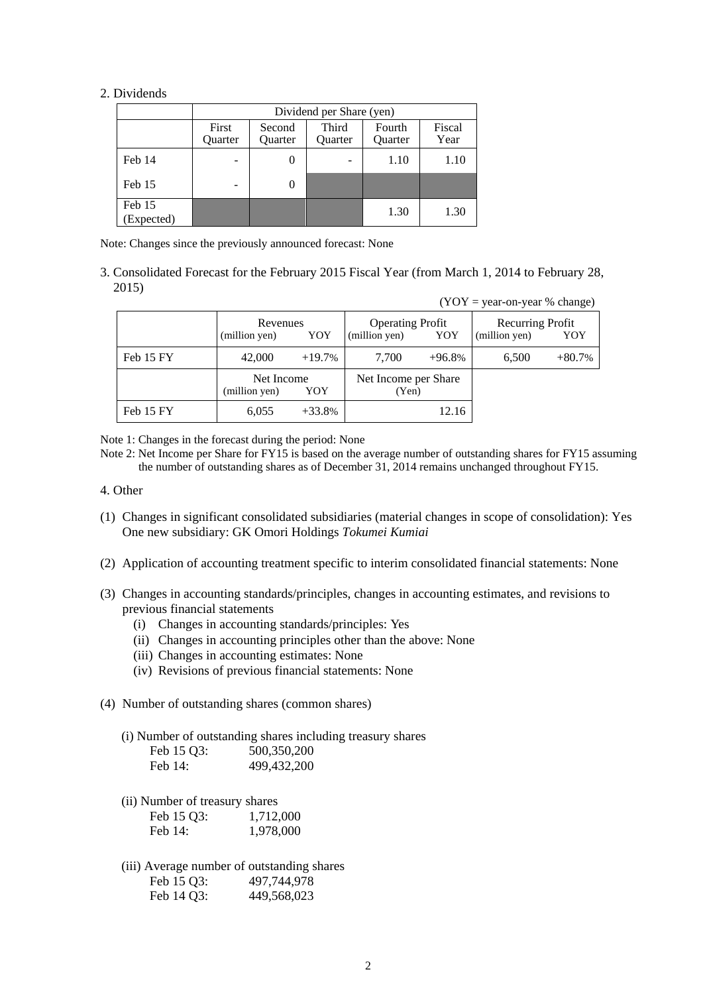#### 2. Dividends

|                      | Dividend per Share (yen) |                   |                  |                   |                |  |  |  |  |  |
|----------------------|--------------------------|-------------------|------------------|-------------------|----------------|--|--|--|--|--|
|                      | First<br>Quarter         | Second<br>Quarter | Third<br>Quarter | Fourth<br>Quarter | Fiscal<br>Year |  |  |  |  |  |
| Feb 14               |                          | $\theta$          |                  | 1.10              | 1.10           |  |  |  |  |  |
| Feb 15               | ۰                        | 0                 |                  |                   |                |  |  |  |  |  |
| Feb 15<br>(Expected) |                          |                   |                  | 1.30              | 1.30           |  |  |  |  |  |

Note: Changes since the previously announced forecast: None

3. Consolidated Forecast for the February 2015 Fiscal Year (from March 1, 2014 to February 28, 2015)

|           |                                    |          |                                                 |          | $(YOY = year-on-year % change)$   |          |
|-----------|------------------------------------|----------|-------------------------------------------------|----------|-----------------------------------|----------|
|           | Revenues<br>(million yen)<br>YOY   |          | <b>Operating Profit</b><br>(million yen)<br>YOY |          | Recurring Profit<br>(million yen) | YOY      |
| Feb 15 FY | 42,000                             | $+19.7%$ | 7,700                                           | $+96.8%$ | 6,500                             | $+80.7%$ |
|           | Net Income<br>YOY<br>(million yen) |          | Net Income per Share<br>(Yen)                   |          |                                   |          |
| Feb 15 FY | 6,055                              | $+33.8%$ |                                                 | 12.16    |                                   |          |

Note 1: Changes in the forecast during the period: None

Note 2: Net Income per Share for FY15 is based on the average number of outstanding shares for FY15 assuming the number of outstanding shares as of December 31, 2014 remains unchanged throughout FY15.

- 4. Other
- (1) Changes in significant consolidated subsidiaries (material changes in scope of consolidation): Yes One new subsidiary: GK Omori Holdings *Tokumei Kumiai*
- (2) Application of accounting treatment specific to interim consolidated financial statements: None
- (3) Changes in accounting standards/principles, changes in accounting estimates, and revisions to previous financial statements
	- (i) Changes in accounting standards/principles: Yes
	- (ii) Changes in accounting principles other than the above: None
	- (iii) Changes in accounting estimates: None
	- (iv) Revisions of previous financial statements: None
- (4) Number of outstanding shares (common shares)
	- (i) Number of outstanding shares including treasury shares Feb 15 Q3: 500,350,200

| ------  | - - - - - - - - - - |
|---------|---------------------|
| Feb 14: | 499,432,200         |

(ii) Number of treasury shares

| Feb 15 Q3: | 1,712,000 |
|------------|-----------|
| Feb 14:    | 1,978,000 |

(iii) Average number of outstanding shares Feb 15 Q3: 497,744,978 Feb 14 Q3: 449,568,023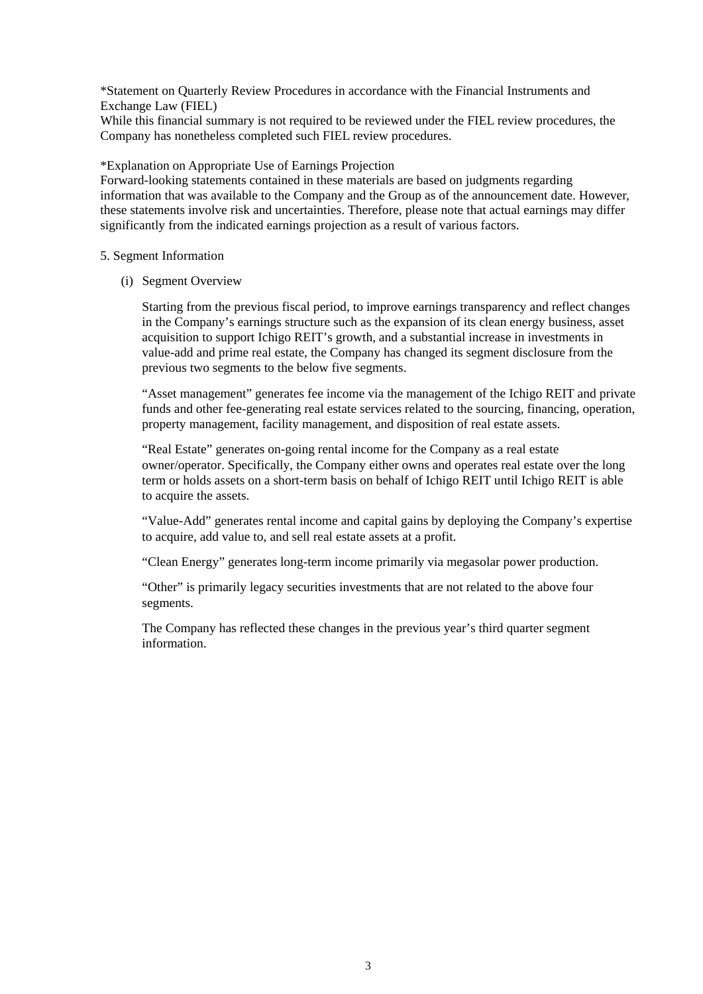\*Statement on Quarterly Review Procedures in accordance with the Financial Instruments and Exchange Law (FIEL)

While this financial summary is not required to be reviewed under the FIEL review procedures, the Company has nonetheless completed such FIEL review procedures.

\*Explanation on Appropriate Use of Earnings Projection

Forward-looking statements contained in these materials are based on judgments regarding information that was available to the Company and the Group as of the announcement date. However, these statements involve risk and uncertainties. Therefore, please note that actual earnings may differ significantly from the indicated earnings projection as a result of various factors.

5. Segment Information

(i) Segment Overview

Starting from the previous fiscal period, to improve earnings transparency and reflect changes in the Company's earnings structure such as the expansion of its clean energy business, asset acquisition to support Ichigo REIT's growth, and a substantial increase in investments in value-add and prime real estate, the Company has changed its segment disclosure from the previous two segments to the below five segments.

"Asset management" generates fee income via the management of the Ichigo REIT and private funds and other fee-generating real estate services related to the sourcing, financing, operation, property management, facility management, and disposition of real estate assets.

"Real Estate" generates on-going rental income for the Company as a real estate owner/operator. Specifically, the Company either owns and operates real estate over the long term or holds assets on a short-term basis on behalf of Ichigo REIT until Ichigo REIT is able to acquire the assets.

"Value-Add" generates rental income and capital gains by deploying the Company's expertise to acquire, add value to, and sell real estate assets at a profit.

"Clean Energy" generates long-term income primarily via megasolar power production.

"Other" is primarily legacy securities investments that are not related to the above four segments.

The Company has reflected these changes in the previous year's third quarter segment information.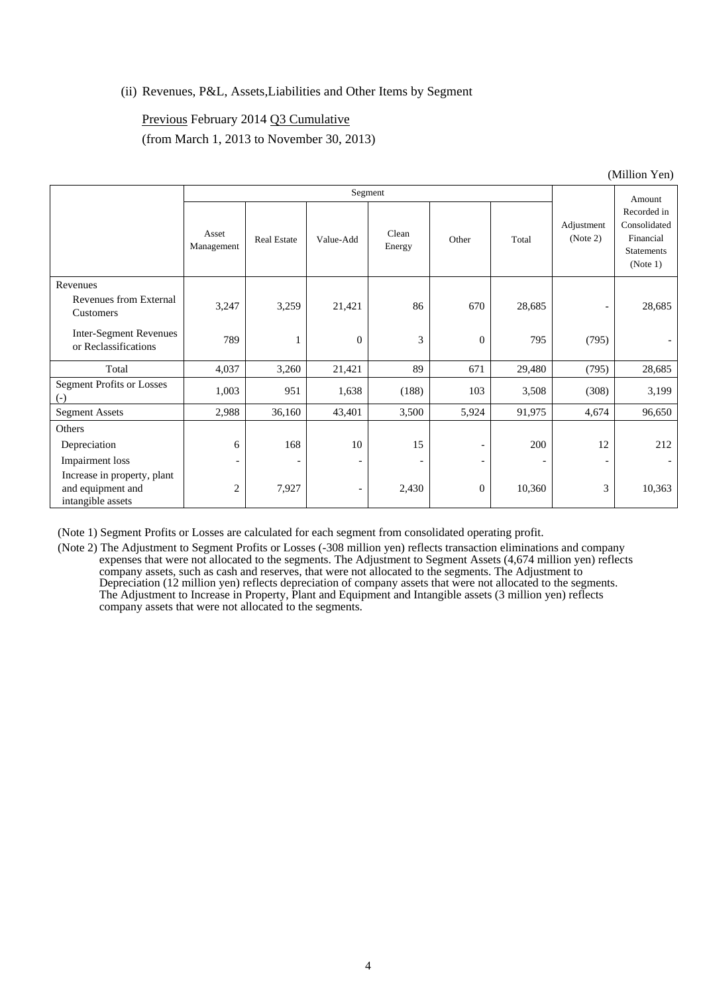### (ii) Revenues, P&L, Assets,Liabilities and Other Items by Segment

#### Previous February 2014 Q3 Cumulative

(from March 1, 2013 to November 30, 2013)

|                                                                       | Segment                  |                          |                          |                          |              |        |                          | Amount                                                                    |
|-----------------------------------------------------------------------|--------------------------|--------------------------|--------------------------|--------------------------|--------------|--------|--------------------------|---------------------------------------------------------------------------|
|                                                                       | Asset<br>Management      | <b>Real Estate</b>       | Value-Add                | Clean<br>Energy          | Other        | Total  | Adjustment<br>(Note 2)   | Recorded in<br>Consolidated<br>Financial<br><b>Statements</b><br>(Note 1) |
| Revenues<br>Revenues from External<br>Customers                       | 3,247                    | 3,259                    | 21,421                   | 86                       | 670          | 28,685 | $\overline{a}$           | 28,685                                                                    |
| <b>Inter-Segment Revenues</b><br>or Reclassifications                 | 789                      |                          | $\theta$                 | 3                        | $\theta$     | 795    | (795)                    |                                                                           |
| Total                                                                 | 4,037                    | 3,260                    | 21,421                   | 89                       | 671          | 29,480 | (795)                    | 28,685                                                                    |
| <b>Segment Profits or Losses</b><br>$(-)$                             | 1,003                    | 951                      | 1,638                    | (188)                    | 103          | 3,508  | (308)                    | 3,199                                                                     |
| <b>Segment Assets</b>                                                 | 2,988                    | 36,160                   | 43,401                   | 3,500                    | 5,924        | 91,975 | 4,674                    | 96,650                                                                    |
| Others                                                                |                          |                          |                          |                          |              |        |                          |                                                                           |
| Depreciation                                                          | 6                        | 168                      | 10                       | 15                       |              | 200    | 12                       | 212                                                                       |
| Impairment loss                                                       | $\overline{\phantom{a}}$ | $\overline{\phantom{a}}$ |                          | $\overline{\phantom{a}}$ |              |        | $\overline{\phantom{a}}$ |                                                                           |
| Increase in property, plant<br>and equipment and<br>intangible assets | $\overline{c}$           | 7,927                    | $\overline{\phantom{a}}$ | 2,430                    | $\mathbf{0}$ | 10,360 | 3                        | 10,363                                                                    |

(Note 1) Segment Profits or Losses are calculated for each segment from consolidated operating profit.

(Note 2) The Adjustment to Segment Profits or Losses (-308 million yen) reflects transaction eliminations and company expenses that were not allocated to the segments. The Adjustment to Segment Assets (4,674 million yen) reflects company assets, such as cash and reserves, that were not allocated to the segments. The Adjustment to Depreciation (12 million yen) reflects depreciation of company assets that were not allocated to the segments. The Adjustment to Increase in Property, Plant and Equipment and Intangible assets (3 million yen) reflects company assets that were not allocated to the segments.

(Million Yen)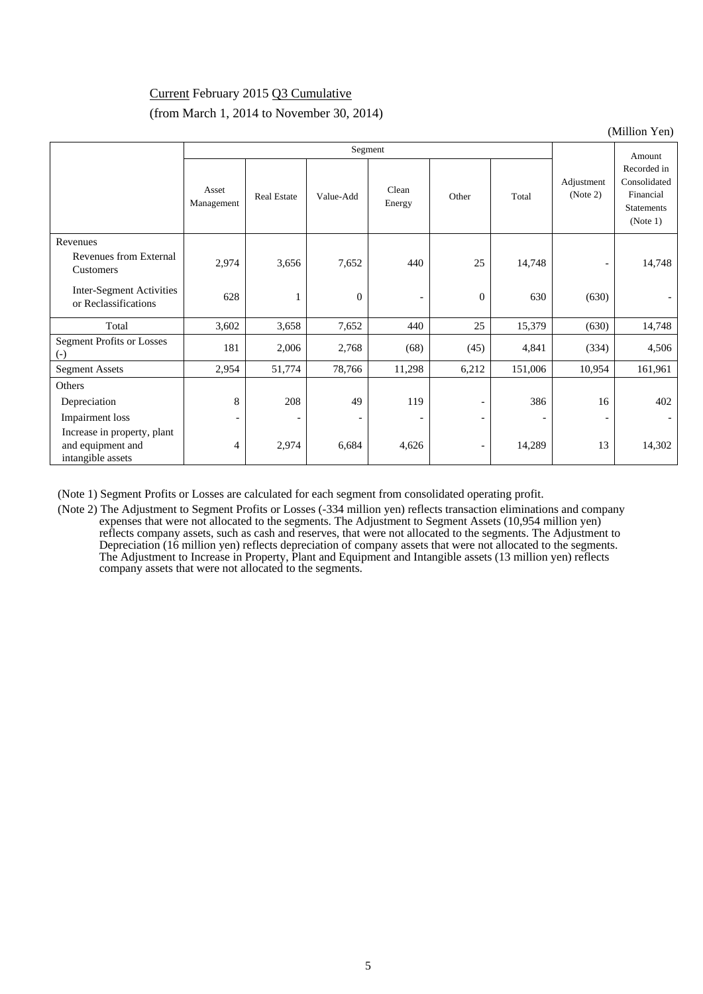# Current February 2015 Q3 Cumulative

## (from March 1, 2014 to November 30, 2014)

(Million Yen)

|                                                                       | Segment                  |                    |                          |                          |                          |         |                          | Amount                                                                    |
|-----------------------------------------------------------------------|--------------------------|--------------------|--------------------------|--------------------------|--------------------------|---------|--------------------------|---------------------------------------------------------------------------|
|                                                                       | Asset<br>Management      | <b>Real Estate</b> | Value-Add                | Clean<br>Energy          | Other                    | Total   | Adjustment<br>(Note 2)   | Recorded in<br>Consolidated<br>Financial<br><b>Statements</b><br>(Note 1) |
| Revenues                                                              |                          |                    |                          |                          |                          |         |                          |                                                                           |
| Revenues from External<br>Customers                                   | 2,974                    | 3,656              | 7,652                    | 440                      | 25                       | 14,748  | $\overline{\phantom{a}}$ | 14,748                                                                    |
| <b>Inter-Segment Activities</b><br>or Reclassifications               | 628                      | 1                  | $\mathbf{0}$             | $\overline{\phantom{a}}$ | $\mathbf{0}$             | 630     | (630)                    |                                                                           |
| Total                                                                 | 3,602                    | 3,658              | 7,652                    | 440                      | 25                       | 15,379  | (630)                    | 14,748                                                                    |
| <b>Segment Profits or Losses</b><br>$\left( -\right)$                 | 181                      | 2,006              | 2,768                    | (68)                     | (45)                     | 4,841   | (334)                    | 4,506                                                                     |
| <b>Segment Assets</b>                                                 | 2,954                    | 51,774             | 78,766                   | 11,298                   | 6,212                    | 151,006 | 10,954                   | 161,961                                                                   |
| Others                                                                |                          |                    |                          |                          |                          |         |                          |                                                                           |
| Depreciation                                                          | 8                        | 208                | 49                       | 119                      |                          | 386     | 16                       | 402                                                                       |
| <b>Impairment</b> loss                                                | $\overline{\phantom{a}}$ |                    | $\overline{\phantom{a}}$ | $\qquad \qquad$          | $\overline{\phantom{0}}$ |         | $\qquad \qquad -$        |                                                                           |
| Increase in property, plant<br>and equipment and<br>intangible assets | 4                        | 2,974              | 6,684                    | 4,626                    | $\overline{\phantom{a}}$ | 14,289  | 13                       | 14,302                                                                    |

(Note 1) Segment Profits or Losses are calculated for each segment from consolidated operating profit.

(Note 2) The Adjustment to Segment Profits or Losses (-334 million yen) reflects transaction eliminations and company expenses that were not allocated to the segments. The Adjustment to Segment Assets (10,954 million yen) reflects company assets, such as cash and reserves, that were not allocated to the segments. The Adjustment to Depreciation (16 million yen) reflects depreciation of company assets that were not allocated to the segments. The Adjustment to Increase in Property, Plant and Equipment and Intangible assets (13 million yen) reflects company assets that were not allocated to the segments.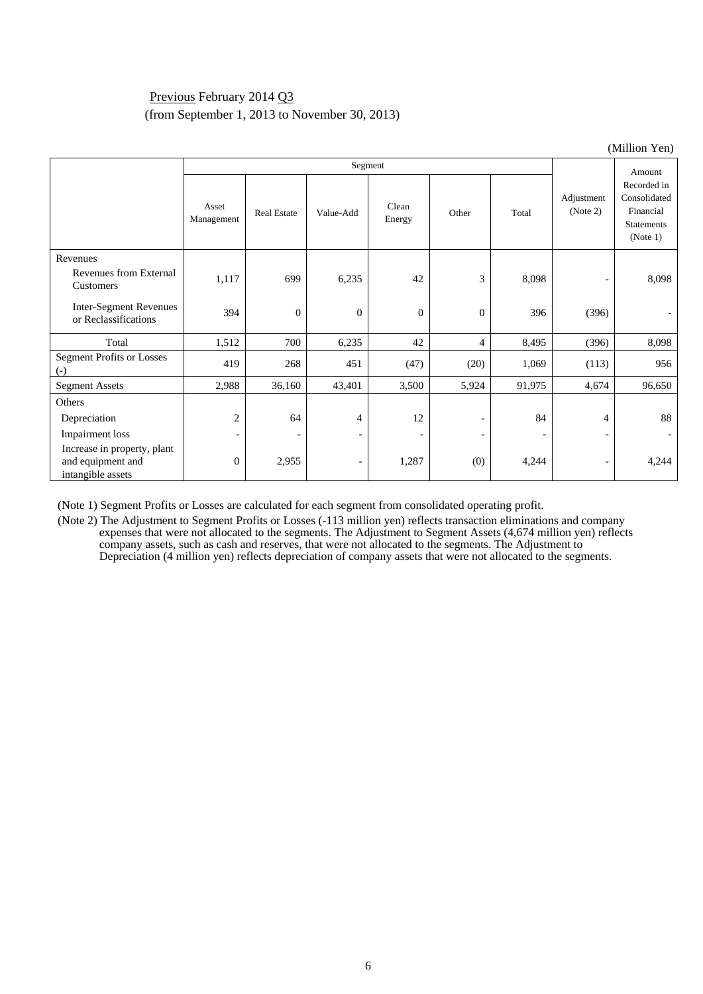## Previous February 2014 Q3 (from September 1, 2013 to November 30, 2013)

| (Million Yen)                                                         |                          |                          |                          |                          |                          |                          |                          |                                                                           |  |  |
|-----------------------------------------------------------------------|--------------------------|--------------------------|--------------------------|--------------------------|--------------------------|--------------------------|--------------------------|---------------------------------------------------------------------------|--|--|
|                                                                       |                          |                          |                          | Amount                   |                          |                          |                          |                                                                           |  |  |
|                                                                       | Asset<br>Management      | <b>Real Estate</b>       | Value-Add                | Clean<br>Energy          | Other                    | Total                    | Adjustment<br>(Note 2)   | Recorded in<br>Consolidated<br>Financial<br><b>Statements</b><br>(Note 1) |  |  |
| Revenues                                                              |                          |                          |                          |                          |                          |                          |                          |                                                                           |  |  |
| Revenues from External<br>Customers                                   | 1,117                    | 699                      | 6,235                    | 42                       | 3                        | 8,098                    | $\overline{\phantom{a}}$ | 8,098                                                                     |  |  |
| <b>Inter-Segment Revenues</b><br>or Reclassifications                 | 394                      | $\mathbf{0}$             | $\overline{0}$           | $\mathbf{0}$             | $\theta$                 | 396                      | (396)                    |                                                                           |  |  |
| Total                                                                 | 1,512                    | 700                      | 6,235                    | 42                       | 4                        | 8,495                    | (396)                    | 8,098                                                                     |  |  |
| <b>Segment Profits or Losses</b><br>$\left( -\right)$                 | 419                      | 268                      | 451                      | (47)                     | (20)                     | 1,069                    | (113)                    | 956                                                                       |  |  |
| <b>Segment Assets</b>                                                 | 2,988                    | 36,160                   | 43,401                   | 3,500                    | 5,924                    | 91,975                   | 4,674                    | 96,650                                                                    |  |  |
| Others                                                                |                          |                          |                          |                          |                          |                          |                          |                                                                           |  |  |
| Depreciation                                                          | $\overline{c}$           | 64                       | $\overline{4}$           | 12                       |                          | 84                       | 4                        | 88                                                                        |  |  |
| Impairment loss                                                       | $\overline{\phantom{a}}$ | $\overline{\phantom{0}}$ | $\overline{\phantom{a}}$ | $\overline{\phantom{a}}$ | $\overline{\phantom{0}}$ | $\overline{\phantom{a}}$ | $\overline{\phantom{a}}$ | $\overline{\phantom{0}}$                                                  |  |  |
| Increase in property, plant<br>and equipment and<br>intangible assets | $\boldsymbol{0}$         | 2,955                    | $\overline{\phantom{a}}$ | 1,287                    | (0)                      | 4,244                    | $\overline{\phantom{a}}$ | 4,244                                                                     |  |  |

(Note 1) Segment Profits or Losses are calculated for each segment from consolidated operating profit.

(Note 2) The Adjustment to Segment Profits or Losses (-113 million yen) reflects transaction eliminations and company expenses that were not allocated to the segments. The Adjustment to Segment Assets (4,674 million yen) reflects company assets, such as cash and reserves, that were not allocated to the segments. The Adjustment to Depreciation (4 million yen) reflects depreciation of company assets that were not allocated to the segments.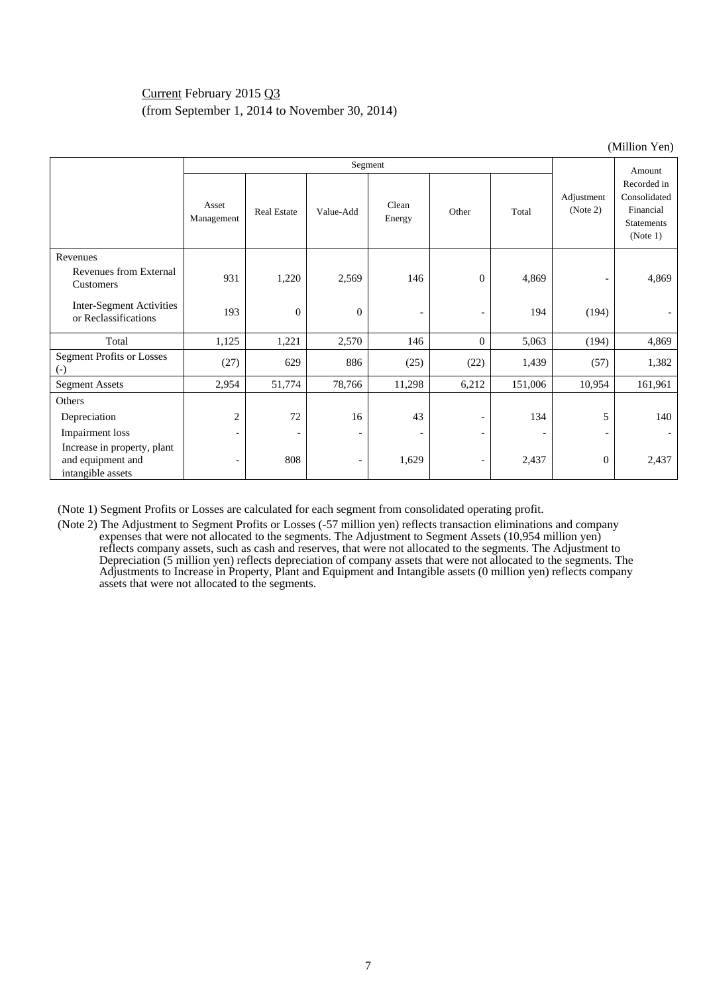## Current February 2015 Q3 (from September 1, 2014 to November 30, 2014)

| $($ WHHIOH $\bf{i}$ en)                                               |                          |                          |                          |                          |                          |         |                          |                                                                           |  |
|-----------------------------------------------------------------------|--------------------------|--------------------------|--------------------------|--------------------------|--------------------------|---------|--------------------------|---------------------------------------------------------------------------|--|
|                                                                       |                          |                          |                          | Segment                  |                          |         |                          | Amount                                                                    |  |
|                                                                       | Asset<br>Management      | <b>Real Estate</b>       | Value-Add                | Clean<br>Energy          | Other                    | Total   | Adjustment<br>(Note 2)   | Recorded in<br>Consolidated<br>Financial<br><b>Statements</b><br>(Note 1) |  |
| Revenues                                                              |                          |                          |                          |                          |                          |         |                          |                                                                           |  |
| Revenues from External<br>Customers                                   | 931                      | 1,220                    | 2,569                    | 146                      | $\theta$                 | 4,869   | $\overline{\phantom{a}}$ | 4,869                                                                     |  |
| Inter-Segment Activities<br>or Reclassifications                      | 193                      | $\theta$                 | $\overline{0}$           | $\qquad \qquad -$        | $\overline{\phantom{a}}$ | 194     | (194)                    |                                                                           |  |
| Total                                                                 | 1,125                    | 1,221                    | 2,570                    | 146                      | $\boldsymbol{0}$         | 5,063   | (194)                    | 4,869                                                                     |  |
| <b>Segment Profits or Losses</b><br>$(-)$                             | (27)                     | 629                      | 886                      | (25)                     | (22)                     | 1,439   | (57)                     | 1,382                                                                     |  |
| <b>Segment Assets</b>                                                 | 2,954                    | 51,774                   | 78,766                   | 11,298                   | 6,212                    | 151,006 | 10,954                   | 161,961                                                                   |  |
| Others                                                                |                          |                          |                          |                          |                          |         |                          |                                                                           |  |
| Depreciation                                                          | $\overline{c}$           | 72                       | 16                       | 43                       | $\overline{\phantom{a}}$ | 134     | 5                        | 140                                                                       |  |
| Impairment loss                                                       | $\overline{\phantom{a}}$ | $\overline{\phantom{a}}$ | $\overline{\phantom{0}}$ | $\overline{\phantom{a}}$ | $\overline{\phantom{a}}$ |         | $\overline{\phantom{a}}$ |                                                                           |  |
| Increase in property, plant<br>and equipment and<br>intangible assets | $\overline{\phantom{a}}$ | 808                      | $\overline{\phantom{a}}$ | 1,629                    | $\overline{\phantom{a}}$ | 2,437   | $\mathbf{0}$             | 2,437                                                                     |  |

(Note 1) Segment Profits or Losses are calculated for each segment from consolidated operating profit.

(Note 2) The Adjustment to Segment Profits or Losses (-57 million yen) reflects transaction eliminations and company expenses that were not allocated to the segments. The Adjustment to Segment Assets (10,954 million yen) reflects company assets, such as cash and reserves, that were not allocated to the segments. The Adjustment to Depreciation (5 million yen) reflects depreciation of company assets that were not allocated to the segments. The Adjustments to Increase in Property, Plant and Equipment and Intangible assets (0 million yen) reflects company assets that were not allocated to the segments.

 $(M)$ llion  $V_{\alpha n}$ )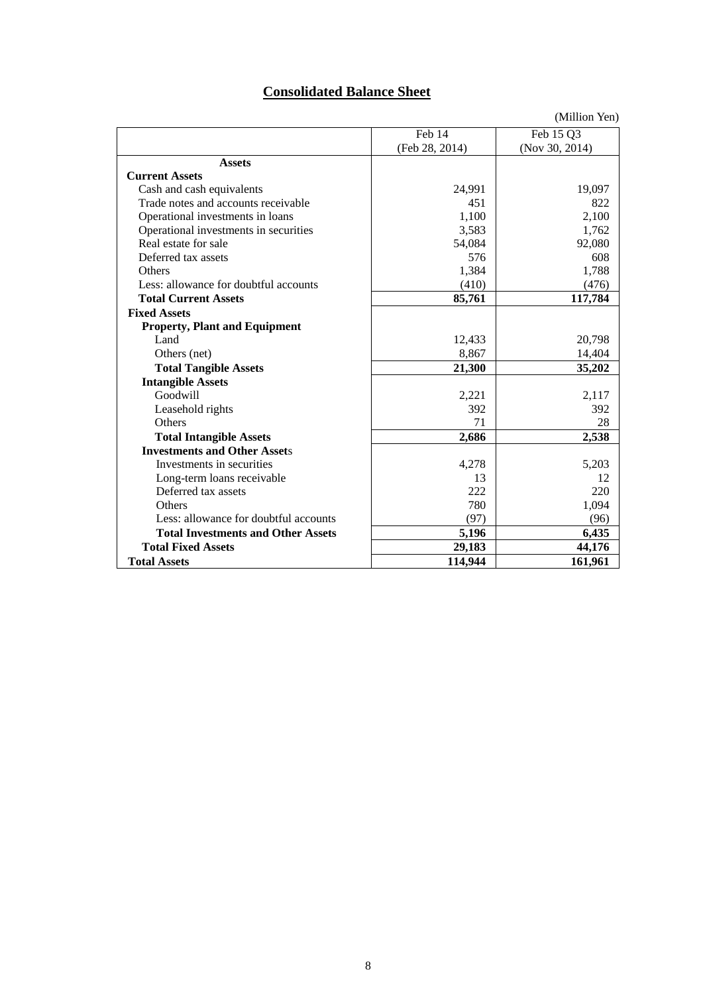# **Consolidated Balance Sheet**

|                                           |                | (Million Yen)  |
|-------------------------------------------|----------------|----------------|
|                                           | Feb 14         | Feb 15 Q3      |
|                                           | (Feb 28, 2014) | (Nov 30, 2014) |
| <b>Assets</b>                             |                |                |
| <b>Current Assets</b>                     |                |                |
| Cash and cash equivalents                 | 24,991         | 19,097         |
| Trade notes and accounts receivable       | 451            | 822            |
| Operational investments in loans          | 1,100          | 2,100          |
| Operational investments in securities     | 3,583          | 1,762          |
| Real estate for sale                      | 54,084         | 92,080         |
| Deferred tax assets                       | 576            | 608            |
| Others                                    | 1,384          | 1,788          |
| Less: allowance for doubtful accounts     | (410)          | (476)          |
| <b>Total Current Assets</b>               | 85,761         | 117,784        |
| <b>Fixed Assets</b>                       |                |                |
| <b>Property, Plant and Equipment</b>      |                |                |
| Land                                      | 12,433         | 20,798         |
| Others (net)                              | 8,867          | 14,404         |
| <b>Total Tangible Assets</b>              | 21,300         | 35,202         |
| <b>Intangible Assets</b>                  |                |                |
| Goodwill                                  | 2,221          | 2,117          |
| Leasehold rights                          | 392            | 392            |
| Others                                    | 71             | 28             |
| <b>Total Intangible Assets</b>            | 2,686          | 2,538          |
| <b>Investments and Other Assets</b>       |                |                |
| Investments in securities                 | 4,278          | 5,203          |
| Long-term loans receivable                | 13             | 12             |
| Deferred tax assets                       | 222            | 220            |
| Others                                    | 780            | 1,094          |
| Less: allowance for doubtful accounts     | (97)           | (96)           |
| <b>Total Investments and Other Assets</b> | 5,196          | 6,435          |
| <b>Total Fixed Assets</b>                 | 29,183         | 44,176         |
| <b>Total Assets</b>                       | 114,944        | 161,961        |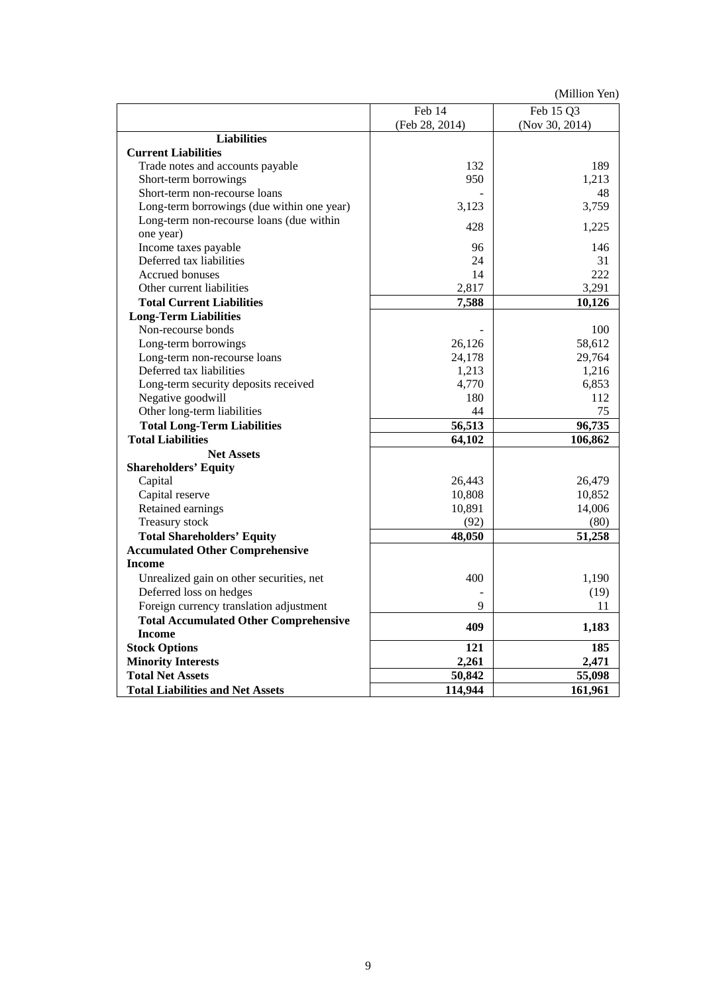(Million Yen)

|                                              | Feb 14         | Feb 15 Q3      |
|----------------------------------------------|----------------|----------------|
|                                              | (Feb 28, 2014) | (Nov 30, 2014) |
| <b>Liabilities</b>                           |                |                |
| <b>Current Liabilities</b>                   |                |                |
| Trade notes and accounts payable             | 132            | 189            |
| Short-term borrowings                        | 950            | 1,213          |
| Short-term non-recourse loans                |                | 48             |
| Long-term borrowings (due within one year)   | 3,123          | 3,759          |
| Long-term non-recourse loans (due within     | 428            | 1,225          |
| one year)                                    |                |                |
| Income taxes payable                         | 96             | 146            |
| Deferred tax liabilities                     | 24             | 31             |
| Accrued bonuses                              | 14             | 222            |
| Other current liabilities                    | 2,817          | 3,291          |
| <b>Total Current Liabilities</b>             | 7,588          | 10,126         |
| <b>Long-Term Liabilities</b>                 |                |                |
| Non-recourse bonds                           |                | 100            |
| Long-term borrowings                         | 26,126         | 58,612         |
| Long-term non-recourse loans                 | 24,178         | 29,764         |
| Deferred tax liabilities                     | 1,213          | 1,216          |
| Long-term security deposits received         | 4,770          | 6,853          |
| Negative goodwill                            | 180            | 112            |
| Other long-term liabilities                  | 44             | 75             |
| <b>Total Long-Term Liabilities</b>           | 56,513         | 96,735         |
| <b>Total Liabilities</b>                     | 64,102         | 106,862        |
| <b>Net Assets</b>                            |                |                |
| <b>Shareholders' Equity</b>                  |                |                |
| Capital                                      | 26,443         | 26,479         |
| Capital reserve                              | 10,808         | 10,852         |
| Retained earnings                            | 10,891         | 14,006         |
| Treasury stock                               | (92)           | (80)           |
| <b>Total Shareholders' Equity</b>            | 48,050         | 51,258         |
| <b>Accumulated Other Comprehensive</b>       |                |                |
| <b>Income</b>                                |                |                |
| Unrealized gain on other securities, net     | 400            | 1,190          |
| Deferred loss on hedges                      |                | (19)           |
| Foreign currency translation adjustment      | 9              | 11             |
| <b>Total Accumulated Other Comprehensive</b> |                |                |
| <b>Income</b>                                | 409            | 1,183          |
| <b>Stock Options</b>                         | 121            | 185            |
| <b>Minority Interests</b>                    | 2,261          | 2,471          |
| <b>Total Net Assets</b>                      | 50,842         | 55,098         |
| <b>Total Liabilities and Net Assets</b>      | 114,944        | 161,961        |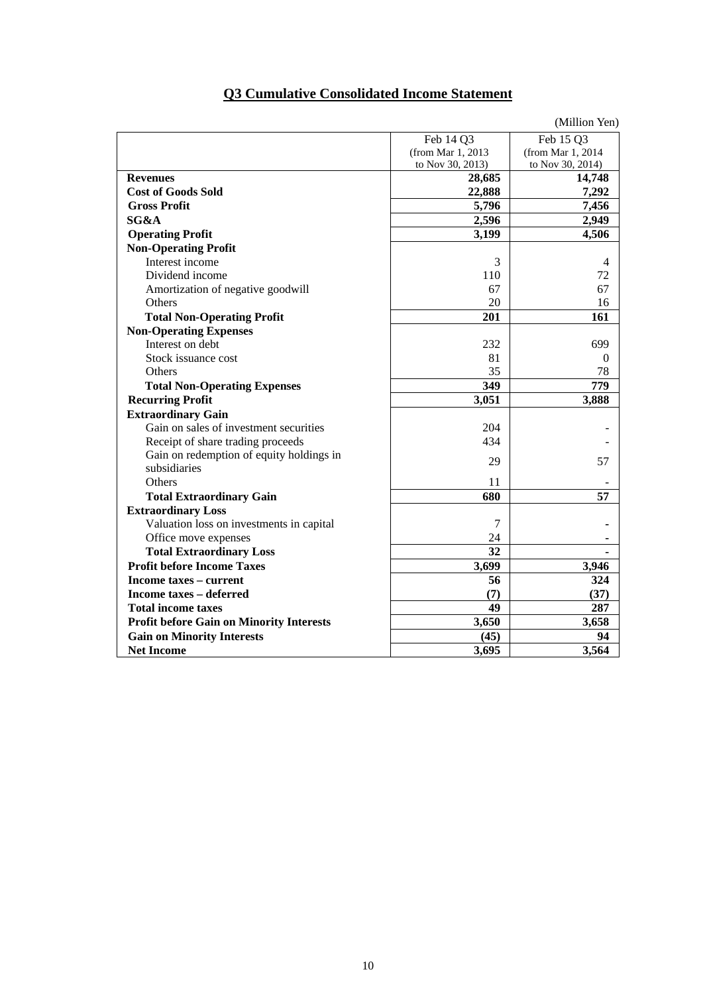# **Q3 Cumulative Consolidated Income Statement**

|                                          |                   | (Million Yen)     |
|------------------------------------------|-------------------|-------------------|
|                                          | Feb 14 Q3         | Feb 15 Q3         |
|                                          | (from Mar 1, 2013 | (from Mar 1, 2014 |
|                                          | to Nov 30, 2013)  | to Nov 30, 2014)  |
| <b>Revenues</b>                          | 28,685            | 14,748            |
| <b>Cost of Goods Sold</b>                | 22,888            | 7,292             |
| <b>Gross Profit</b>                      | 5,796             | 7,456             |
| SG&A                                     | 2,596             | 2,949             |
| <b>Operating Profit</b>                  | 3,199             | 4,506             |
| <b>Non-Operating Profit</b>              |                   |                   |
| Interest income                          | 3                 | 4                 |
| Dividend income                          | 110               | 72                |
| Amortization of negative goodwill        | 67                | 67                |
| Others                                   | 20                | 16                |
| <b>Total Non-Operating Profit</b>        | 201               | 161               |
| <b>Non-Operating Expenses</b>            |                   |                   |
| Interest on debt                         | 232               | 699               |
| Stock issuance cost                      | 81                | 0                 |
| Others                                   | 35                | 78                |
| <b>Total Non-Operating Expenses</b>      | 349               | 779               |
| <b>Recurring Profit</b>                  | 3,051             | 3,888             |
| <b>Extraordinary Gain</b>                |                   |                   |
| Gain on sales of investment securities   | 204               |                   |
| Receipt of share trading proceeds        | 434               |                   |
| Gain on redemption of equity holdings in | 29                | 57                |
| subsidiaries                             |                   |                   |
| Others                                   | 11                |                   |
| <b>Total Extraordinary Gain</b>          | 680               | 57                |
| <b>Extraordinary Loss</b>                |                   |                   |
| Valuation loss on investments in capital | 7                 |                   |
| Office move expenses                     | 24                |                   |
| <b>Total Extraordinary Loss</b>          | 32                |                   |
| <b>Profit before Income Taxes</b>        | 3,699             | 3,946             |
| Income taxes – current                   | 56                | 324               |
| <b>Income taxes - deferred</b>           | (7)               | (37)              |
| <b>Total income taxes</b>                | 49                | 287               |
| Profit before Gain on Minority Interests | 3,650             | 3,658             |
| <b>Gain on Minority Interests</b>        | (45)              | 94                |
| <b>Net Income</b>                        | 3,695             | 3,564             |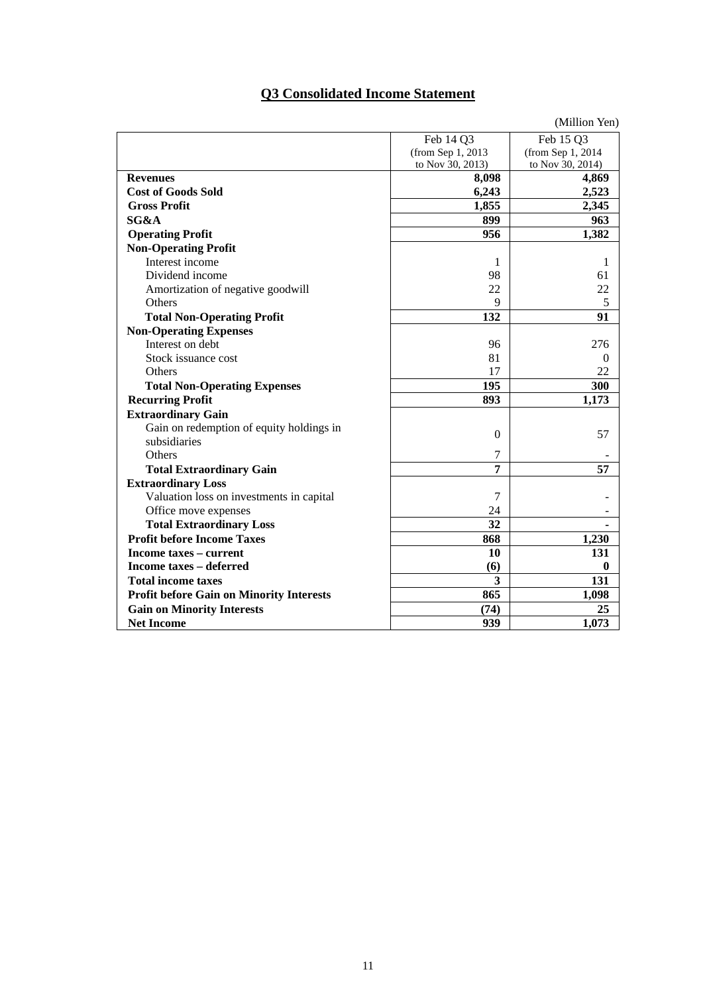## **Q3 Consolidated Income Statement**

|                                                 |                    | (Million Yen)     |
|-------------------------------------------------|--------------------|-------------------|
|                                                 | Feb 14 Q3          | Feb 15 Q3         |
|                                                 | (from Sep 1, 2013) | (from Sep 1, 2014 |
|                                                 | to Nov 30, 2013)   | to Nov 30, 2014)  |
| <b>Revenues</b>                                 | 8,098              | 4,869             |
| <b>Cost of Goods Sold</b>                       | 6,243              | 2,523             |
| <b>Gross Profit</b>                             | 1,855              | 2,345             |
| SG&A                                            | 899                | 963               |
| <b>Operating Profit</b>                         | 956                | 1,382             |
| <b>Non-Operating Profit</b>                     |                    |                   |
| Interest income                                 | 1                  | 1                 |
| Dividend income                                 | 98                 | 61                |
| Amortization of negative goodwill               | 22                 | 22                |
| Others                                          | 9                  | 5                 |
| <b>Total Non-Operating Profit</b>               | 132                | 91                |
| <b>Non-Operating Expenses</b>                   |                    |                   |
| Interest on debt                                | 96                 | 276               |
| Stock issuance cost                             | 81                 | $\theta$          |
| Others                                          | 17                 | 22                |
| <b>Total Non-Operating Expenses</b>             | 195                | 300               |
| <b>Recurring Profit</b>                         | 893                | 1,173             |
| <b>Extraordinary Gain</b>                       |                    |                   |
| Gain on redemption of equity holdings in        | $\mathbf{0}$       | 57                |
| subsidiaries                                    |                    |                   |
| Others                                          | 7                  |                   |
| <b>Total Extraordinary Gain</b>                 | 7                  | 57                |
| <b>Extraordinary Loss</b>                       |                    |                   |
| Valuation loss on investments in capital        | 7                  |                   |
| Office move expenses                            | 24                 |                   |
| <b>Total Extraordinary Loss</b>                 | 32                 |                   |
| <b>Profit before Income Taxes</b>               | 868                | 1,230             |
| Income taxes – current                          | 10                 | 131               |
| Income taxes – deferred                         | (6)                | $\boldsymbol{0}$  |
| <b>Total income taxes</b>                       | 3                  | 131               |
| <b>Profit before Gain on Minority Interests</b> | 865                | 1,098             |
| <b>Gain on Minority Interests</b>               | (74)               | 25                |
| <b>Net Income</b>                               | 939                | 1,073             |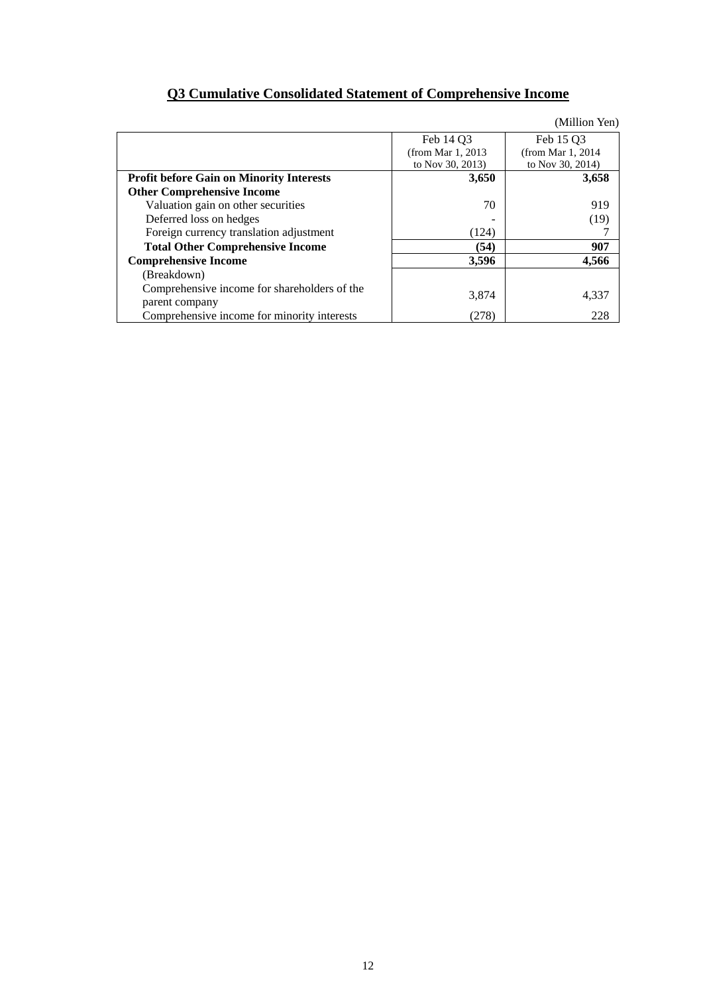|  |  | <b>Q3 Cumulative Consolidated Statement of Comprehensive Income</b> |  |
|--|--|---------------------------------------------------------------------|--|
|  |  |                                                                     |  |

|                                                                |                       | (Million Yen)         |
|----------------------------------------------------------------|-----------------------|-----------------------|
|                                                                | Feb 14 O3             | Feb 15 Q3             |
|                                                                | (from Mar $1, 2013$ ) | (from Mar $1, 2014$ ) |
|                                                                | to Nov 30, 2013)      | to Nov 30, 2014)      |
| <b>Profit before Gain on Minority Interests</b>                | 3,650                 | 3,658                 |
| <b>Other Comprehensive Income</b>                              |                       |                       |
| Valuation gain on other securities                             | 70                    | 919                   |
| Deferred loss on hedges                                        |                       | (19)                  |
| Foreign currency translation adjustment                        | (124)                 |                       |
| <b>Total Other Comprehensive Income</b>                        | (54)                  | 907                   |
| <b>Comprehensive Income</b>                                    | 3,596                 | 4,566                 |
| (Breakdown)                                                    |                       |                       |
| Comprehensive income for shareholders of the<br>parent company | 3,874                 | 4,337                 |
| Comprehensive income for minority interests                    | (278)                 | 228                   |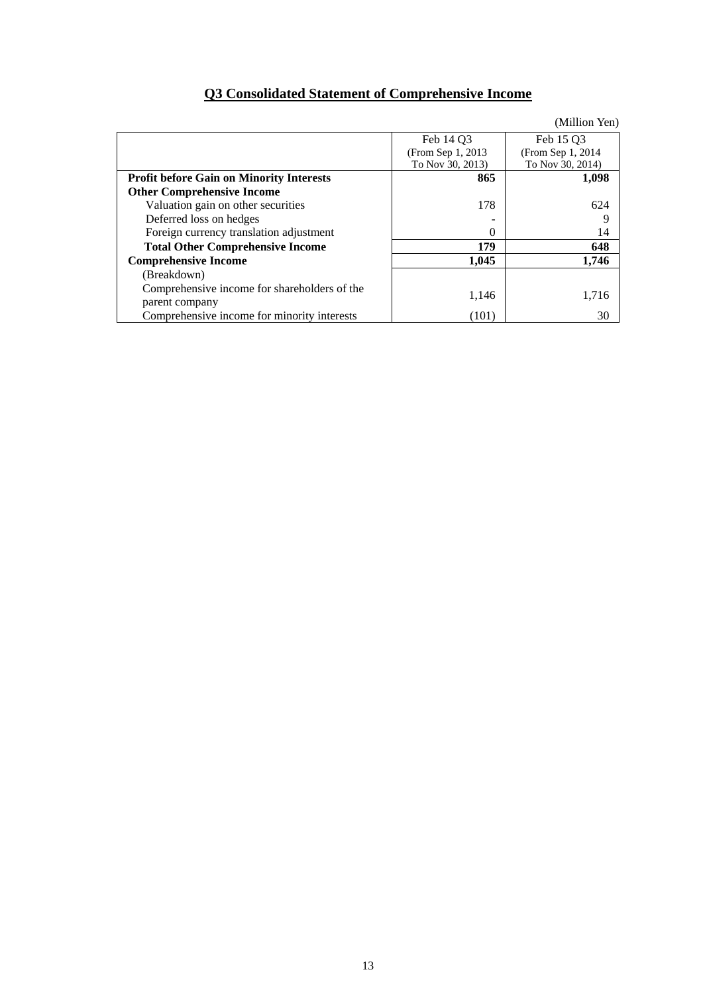## **Q3 Consolidated Statement of Comprehensive Income**

|  | (Million Yen) |
|--|---------------|
|  |               |

|                                                 | Feb 14 O3          | Feb 15 O3          |
|-------------------------------------------------|--------------------|--------------------|
|                                                 | (From Sep 1, 2013) | (From Sep 1, 2014) |
|                                                 | To Nov 30, 2013)   | To Nov 30, 2014)   |
| <b>Profit before Gain on Minority Interests</b> | 865                | 1,098              |
| <b>Other Comprehensive Income</b>               |                    |                    |
| Valuation gain on other securities              | 178                | 624                |
| Deferred loss on hedges                         |                    | q                  |
| Foreign currency translation adjustment         | $\Omega$           | 14                 |
| <b>Total Other Comprehensive Income</b>         | 179                | 648                |
| <b>Comprehensive Income</b>                     | 1,045              | 1,746              |
| (Breakdown)                                     |                    |                    |
| Comprehensive income for shareholders of the    |                    |                    |
| parent company                                  | 1,146              | 1,716              |
| Comprehensive income for minority interests     | (101)              | 30                 |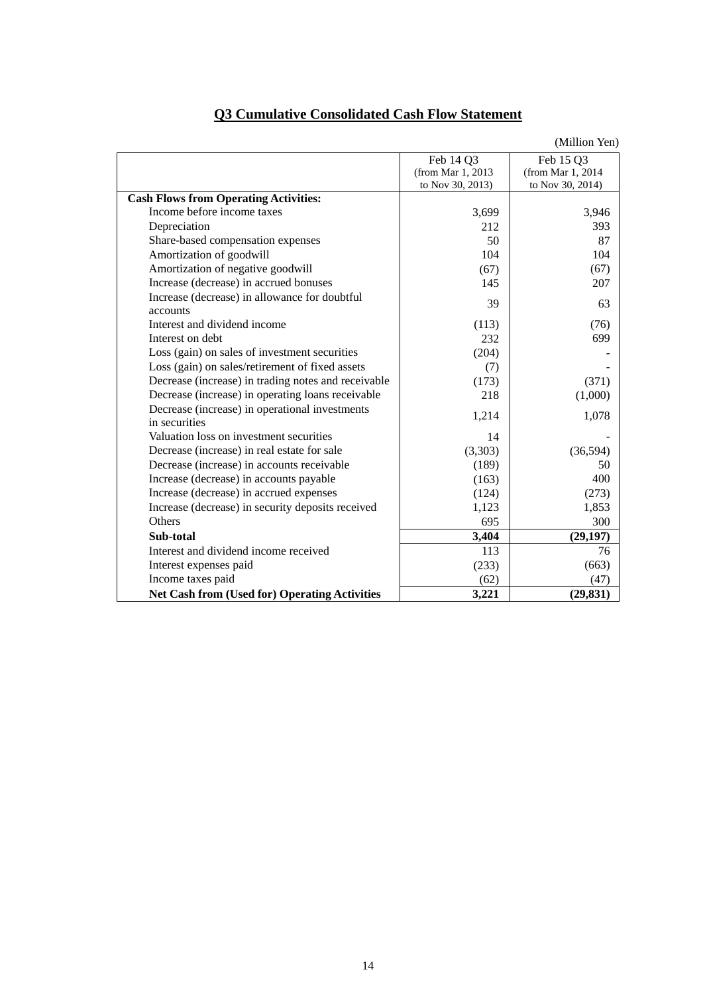| <b>Q3 Cumulative Consolidated Cash Flow Statement</b> |
|-------------------------------------------------------|
|-------------------------------------------------------|

|                                                                 |                   | (Million Yen)     |
|-----------------------------------------------------------------|-------------------|-------------------|
|                                                                 | Feb 14 Q3         | Feb 15 Q3         |
|                                                                 | (from Mar 1, 2013 | (from Mar 1, 2014 |
|                                                                 | to Nov 30, 2013)  | to Nov 30, 2014)  |
| <b>Cash Flows from Operating Activities:</b>                    |                   |                   |
| Income before income taxes                                      | 3,699             | 3,946             |
| Depreciation                                                    | 212               | 393               |
| Share-based compensation expenses                               | 50                | 87                |
| Amortization of goodwill                                        | 104               | 104               |
| Amortization of negative goodwill                               | (67)              | (67)              |
| Increase (decrease) in accrued bonuses                          | 145               | 207               |
| Increase (decrease) in allowance for doubtful<br>accounts       | 39                | 63                |
| Interest and dividend income                                    | (113)             | (76)              |
| Interest on debt                                                | 232               | 699               |
| Loss (gain) on sales of investment securities                   | (204)             |                   |
| Loss (gain) on sales/retirement of fixed assets                 | (7)               |                   |
| Decrease (increase) in trading notes and receivable             | (173)             | (371)             |
| Decrease (increase) in operating loans receivable               | 218               | (1,000)           |
| Decrease (increase) in operational investments<br>in securities | 1,214             | 1,078             |
| Valuation loss on investment securities                         | 14                |                   |
| Decrease (increase) in real estate for sale                     | (3,303)           | (36,594)          |
| Decrease (increase) in accounts receivable                      | (189)             | 50                |
| Increase (decrease) in accounts payable                         | (163)             | 400               |
| Increase (decrease) in accrued expenses                         | (124)             | (273)             |
| Increase (decrease) in security deposits received               | 1,123             | 1,853             |
| Others                                                          | 695               | 300               |
| Sub-total                                                       | 3,404             | (29, 197)         |
| Interest and dividend income received                           | 113               | 76                |
| Interest expenses paid                                          | (233)             | (663)             |
| Income taxes paid                                               | (62)              | (47)              |
| <b>Net Cash from (Used for) Operating Activities</b>            | 3,221             | (29, 831)         |